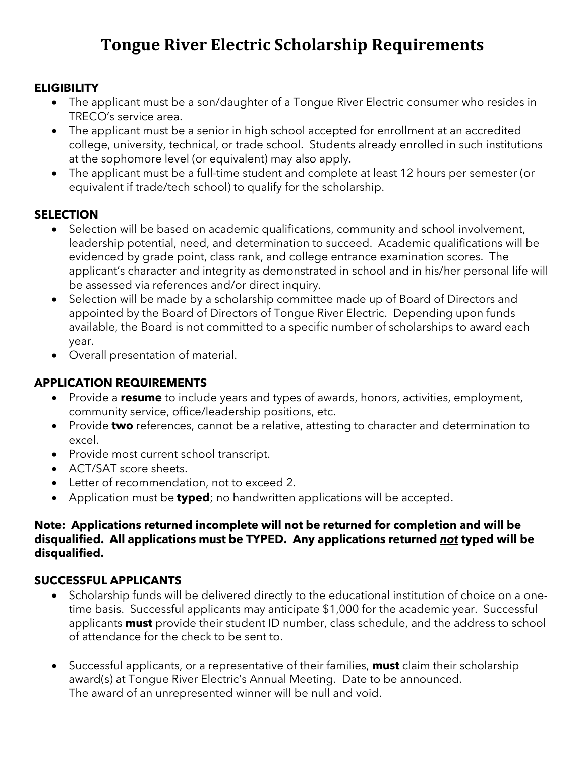## **Tongue River Electric Scholarship Requirements**

#### **ELIGIBILITY**

- The applicant must be a son/daughter of a Tongue River Electric consumer who resides in TRECO's service area.
- The applicant must be a senior in high school accepted for enrollment at an accredited college, university, technical, or trade school. Students already enrolled in such institutions at the sophomore level (or equivalent) may also apply.
- The applicant must be a full-time student and complete at least 12 hours per semester (or equivalent if trade/tech school) to qualify for the scholarship.

#### **SELECTION**

- Selection will be based on academic qualifications, community and school involvement, leadership potential, need, and determination to succeed. Academic qualifications will be evidenced by grade point, class rank, and college entrance examination scores. The applicant's character and integrity as demonstrated in school and in his/her personal life will be assessed via references and/or direct inquiry.
- Selection will be made by a scholarship committee made up of Board of Directors and appointed by the Board of Directors of Tongue River Electric. Depending upon funds available, the Board is not committed to a specific number of scholarships to award each year.
- Overall presentation of material.

#### **APPLICATION REQUIREMENTS**

- Provide a **resume** to include years and types of awards, honors, activities, employment, community service, office/leadership positions, etc.
- Provide **two** references, cannot be a relative, attesting to character and determination to excel.
- Provide most current school transcript.
- ACT/SAT score sheets.
- Letter of recommendation, not to exceed 2.
- Application must be **typed**; no handwritten applications will be accepted.

#### **Note: Applications returned incomplete will not be returned for completion and will be disqualified. All applications must be TYPED. Any applications returned** *not* **typed will be disqualified.**

#### **SUCCESSFUL APPLICANTS**

- Scholarship funds will be delivered directly to the educational institution of choice on a onetime basis. Successful applicants may anticipate \$1,000 for the academic year. Successful applicants **must** provide their student ID number, class schedule, and the address to school of attendance for the check to be sent to.
- Successful applicants, or a representative of their families, **must** claim their scholarship award(s) at Tongue River Electric's Annual Meeting. Date to be announced. The award of an unrepresented winner will be null and void.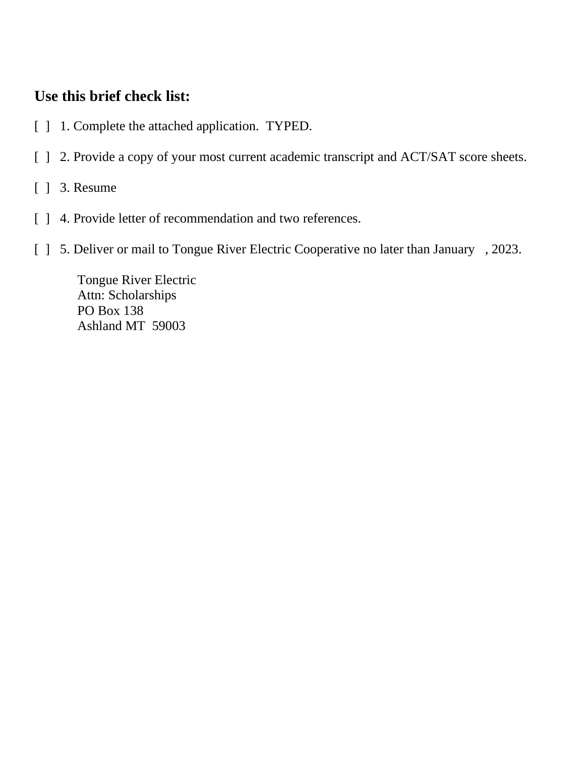### **Use this brief check list:**

- [ ] 1. Complete the attached application. TYPED.
- [ ] 2. Provide a copy of your most current academic transcript and ACT/SAT score sheets.
- [ ] 3. Resume
- [ ] 4. Provide letter of recommendation and two references.
- [ ] 5. Deliver or mail to Tongue River Electric Cooperative no later than January , 2023.

Tongue River Electric Attn: Scholarships PO Box 138 Ashland MT 59003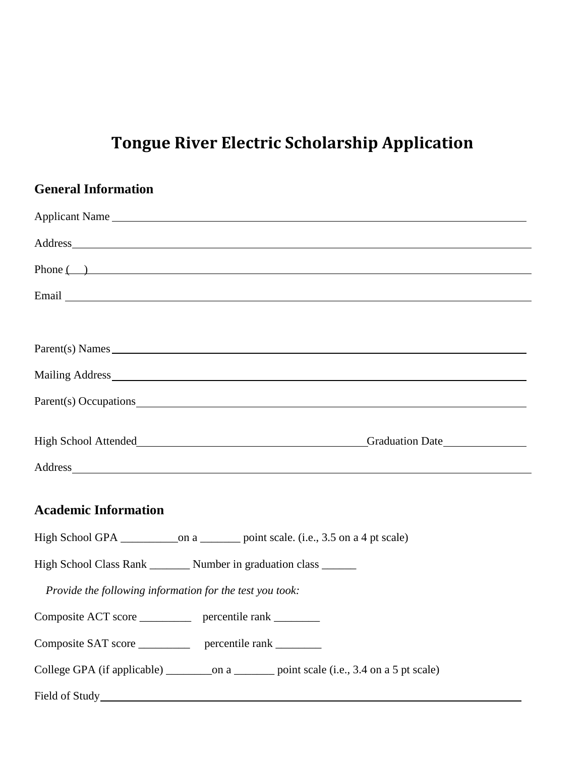# **Tongue River Electric Scholarship Application**

| <b>General Information</b>                                                                                                                                                                                                     |
|--------------------------------------------------------------------------------------------------------------------------------------------------------------------------------------------------------------------------------|
|                                                                                                                                                                                                                                |
|                                                                                                                                                                                                                                |
| $Phone \qquad )$                                                                                                                                                                                                               |
|                                                                                                                                                                                                                                |
|                                                                                                                                                                                                                                |
| Parent(s) Names                                                                                                                                                                                                                |
|                                                                                                                                                                                                                                |
|                                                                                                                                                                                                                                |
| High School Attended Fight School Attended Fight School Attended Fight School Attended Fight School Attended Fight School Attended Fight School Attended Fight School Attended Fight School Attended Fight School Attended Fig |
|                                                                                                                                                                                                                                |
| <b>Academic Information</b>                                                                                                                                                                                                    |
|                                                                                                                                                                                                                                |
| High School Class Rank _______ Number in graduation class ______                                                                                                                                                               |
| Provide the following information for the test you took:                                                                                                                                                                       |
| Composite ACT score<br>percentile rank                                                                                                                                                                                         |
| Composite SAT score _____________ percentile rank ________                                                                                                                                                                     |
|                                                                                                                                                                                                                                |
|                                                                                                                                                                                                                                |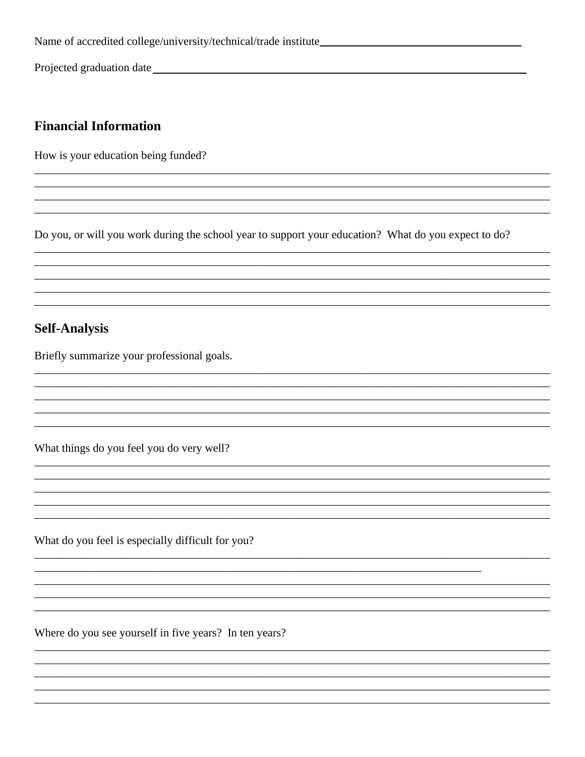Projected graduation date https://www.archive.com/

#### **Financial Information**

How is your education being funded?

Do you, or will you work during the school year to support your education? What do you expect to do?

#### **Self-Analysis**

Briefly summarize your professional goals.

What things do you feel you do very well?

What do you feel is especially difficult for you?

Where do you see yourself in five years? In ten years?